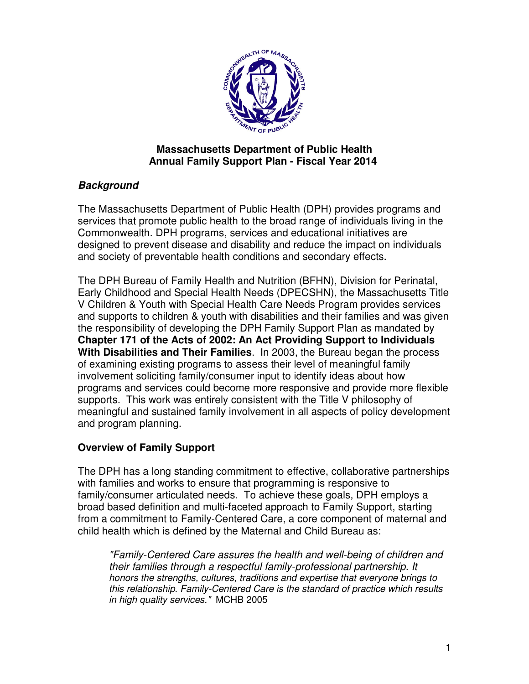

## **Massachusetts Department of Public Health Annual Family Support Plan - Fiscal Year 2014**

# **Background**

The Massachusetts Department of Public Health (DPH) provides programs and services that promote public health to the broad range of individuals living in the Commonwealth. DPH programs, services and educational initiatives are designed to prevent disease and disability and reduce the impact on individuals and society of preventable health conditions and secondary effects.

The DPH Bureau of Family Health and Nutrition (BFHN), Division for Perinatal, Early Childhood and Special Health Needs (DPECSHN), the Massachusetts Title V Children & Youth with Special Health Care Needs Program provides services and supports to children & youth with disabilities and their families and was given the responsibility of developing the DPH Family Support Plan as mandated by **Chapter 171 of the Acts of 2002: An Act Providing Support to Individuals With Disabilities and Their Families**. In 2003, the Bureau began the process of examining existing programs to assess their level of meaningful family involvement soliciting family/consumer input to identify ideas about how programs and services could become more responsive and provide more flexible supports. This work was entirely consistent with the Title V philosophy of meaningful and sustained family involvement in all aspects of policy development and program planning.

# **Overview of Family Support**

The DPH has a long standing commitment to effective, collaborative partnerships with families and works to ensure that programming is responsive to family/consumer articulated needs. To achieve these goals, DPH employs a broad based definition and multi-faceted approach to Family Support, starting from a commitment to Family-Centered Care, a core component of maternal and child health which is defined by the Maternal and Child Bureau as:

"Family-Centered Care assures the health and well-being of children and their families through a respectful family-professional partnership. It honors the strengths, cultures, traditions and expertise that everyone brings to this relationship. Family-Centered Care is the standard of practice which results in high quality services." MCHB 2005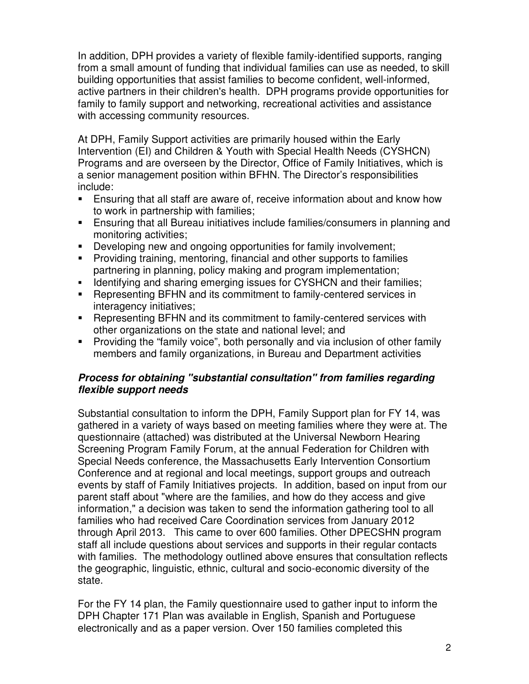In addition, DPH provides a variety of flexible family-identified supports, ranging from a small amount of funding that individual families can use as needed, to skill building opportunities that assist families to become confident, well-informed, active partners in their children's health. DPH programs provide opportunities for family to family support and networking, recreational activities and assistance with accessing community resources.

At DPH, Family Support activities are primarily housed within the Early Intervention (EI) and Children & Youth with Special Health Needs (CYSHCN) Programs and are overseen by the Director, Office of Family Initiatives, which is a senior management position within BFHN. The Director's responsibilities include:

- Ensuring that all staff are aware of, receive information about and know how to work in partnership with families;
- Ensuring that all Bureau initiatives include families/consumers in planning and monitoring activities;
- Developing new and ongoing opportunities for family involvement;
- **Providing training, mentoring, financial and other supports to families** partnering in planning, policy making and program implementation;
- **IDENTIFY 19 Identifying and sharing emerging issues for CYSHCN and their families;**
- Representing BFHN and its commitment to family-centered services in interagency initiatives;
- Representing BFHN and its commitment to family-centered services with other organizations on the state and national level; and
- **Providing the "family voice", both personally and via inclusion of other family** members and family organizations, in Bureau and Department activities

## **Process for obtaining "substantial consultation" from families regarding flexible support needs**

Substantial consultation to inform the DPH, Family Support plan for FY 14, was gathered in a variety of ways based on meeting families where they were at. The questionnaire (attached) was distributed at the Universal Newborn Hearing Screening Program Family Forum, at the annual Federation for Children with Special Needs conference, the Massachusetts Early Intervention Consortium Conference and at regional and local meetings, support groups and outreach events by staff of Family Initiatives projects. In addition, based on input from our parent staff about "where are the families, and how do they access and give information," a decision was taken to send the information gathering tool to all families who had received Care Coordination services from January 2012 through April 2013. This came to over 600 families. Other DPECSHN program staff all include questions about services and supports in their regular contacts with families. The methodology outlined above ensures that consultation reflects the geographic, linguistic, ethnic, cultural and socio-economic diversity of the state.

For the FY 14 plan, the Family questionnaire used to gather input to inform the DPH Chapter 171 Plan was available in English, Spanish and Portuguese electronically and as a paper version. Over 150 families completed this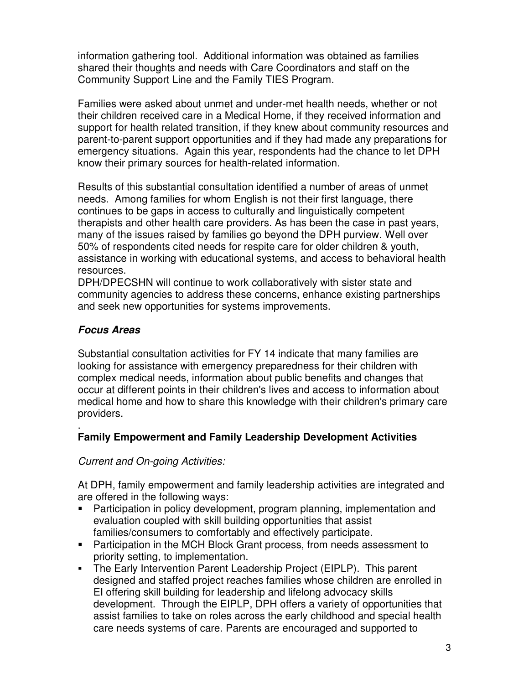information gathering tool. Additional information was obtained as families shared their thoughts and needs with Care Coordinators and staff on the Community Support Line and the Family TIES Program.

Families were asked about unmet and under-met health needs, whether or not their children received care in a Medical Home, if they received information and support for health related transition, if they knew about community resources and parent-to-parent support opportunities and if they had made any preparations for emergency situations. Again this year, respondents had the chance to let DPH know their primary sources for health-related information.

Results of this substantial consultation identified a number of areas of unmet needs. Among families for whom English is not their first language, there continues to be gaps in access to culturally and linguistically competent therapists and other health care providers. As has been the case in past years, many of the issues raised by families go beyond the DPH purview. Well over 50% of respondents cited needs for respite care for older children & youth, assistance in working with educational systems, and access to behavioral health resources.

DPH/DPECSHN will continue to work collaboratively with sister state and community agencies to address these concerns, enhance existing partnerships and seek new opportunities for systems improvements.

# **Focus Areas**

Substantial consultation activities for FY 14 indicate that many families are looking for assistance with emergency preparedness for their children with complex medical needs, information about public benefits and changes that occur at different points in their children's lives and access to information about medical home and how to share this knowledge with their children's primary care providers.

#### . **Family Empowerment and Family Leadership Development Activities**

## Current and On-going Activities:

At DPH, family empowerment and family leadership activities are integrated and are offered in the following ways:

- Participation in policy development, program planning, implementation and evaluation coupled with skill building opportunities that assist families/consumers to comfortably and effectively participate.
- **Participation in the MCH Block Grant process, from needs assessment to** priority setting, to implementation.
- The Early Intervention Parent Leadership Project (EIPLP). This parent designed and staffed project reaches families whose children are enrolled in EI offering skill building for leadership and lifelong advocacy skills development. Through the EIPLP, DPH offers a variety of opportunities that assist families to take on roles across the early childhood and special health care needs systems of care. Parents are encouraged and supported to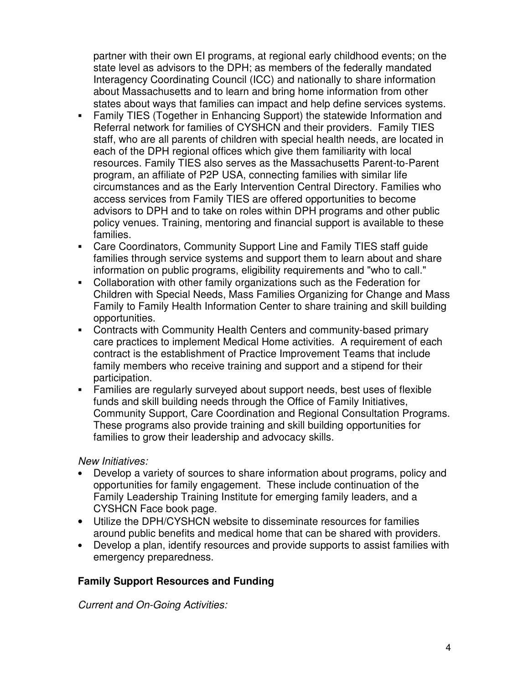partner with their own EI programs, at regional early childhood events; on the state level as advisors to the DPH; as members of the federally mandated Interagency Coordinating Council (ICC) and nationally to share information about Massachusetts and to learn and bring home information from other states about ways that families can impact and help define services systems.

- Family TIES (Together in Enhancing Support) the statewide Information and Referral network for families of CYSHCN and their providers. Family TIES staff, who are all parents of children with special health needs, are located in each of the DPH regional offices which give them familiarity with local resources. Family TIES also serves as the Massachusetts Parent-to-Parent program, an affiliate of P2P USA, connecting families with similar life circumstances and as the Early Intervention Central Directory. Families who access services from Family TIES are offered opportunities to become advisors to DPH and to take on roles within DPH programs and other public policy venues. Training, mentoring and financial support is available to these families.
- Care Coordinators, Community Support Line and Family TIES staff guide families through service systems and support them to learn about and share information on public programs, eligibility requirements and "who to call."
- Collaboration with other family organizations such as the Federation for Children with Special Needs, Mass Families Organizing for Change and Mass Family to Family Health Information Center to share training and skill building opportunities.
- Contracts with Community Health Centers and community-based primary care practices to implement Medical Home activities. A requirement of each contract is the establishment of Practice Improvement Teams that include family members who receive training and support and a stipend for their participation.
- Families are regularly surveyed about support needs, best uses of flexible funds and skill building needs through the Office of Family Initiatives, Community Support, Care Coordination and Regional Consultation Programs. These programs also provide training and skill building opportunities for families to grow their leadership and advocacy skills.

New Initiatives:

- Develop a variety of sources to share information about programs, policy and opportunities for family engagement. These include continuation of the Family Leadership Training Institute for emerging family leaders, and a CYSHCN Face book page.
- Utilize the DPH/CYSHCN website to disseminate resources for families around public benefits and medical home that can be shared with providers.
- Develop a plan, identify resources and provide supports to assist families with emergency preparedness.

# **Family Support Resources and Funding**

Current and On-Going Activities: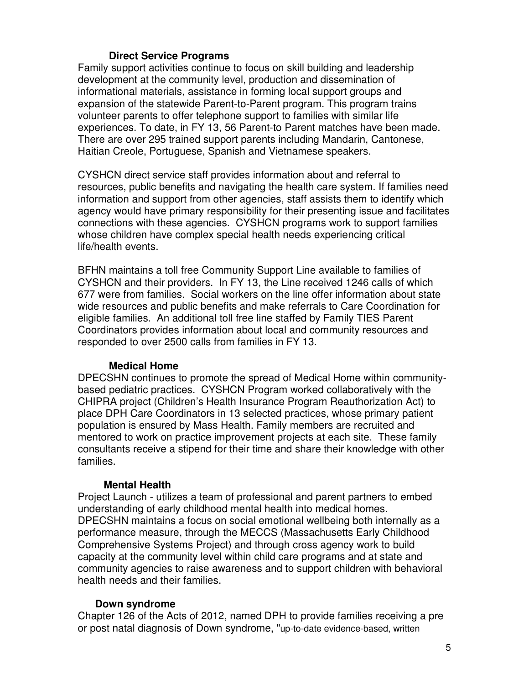### **Direct Service Programs**

Family support activities continue to focus on skill building and leadership development at the community level, production and dissemination of informational materials, assistance in forming local support groups and expansion of the statewide Parent-to-Parent program. This program trains volunteer parents to offer telephone support to families with similar life experiences. To date, in FY 13, 56 Parent-to Parent matches have been made. There are over 295 trained support parents including Mandarin, Cantonese, Haitian Creole, Portuguese, Spanish and Vietnamese speakers.

CYSHCN direct service staff provides information about and referral to resources, public benefits and navigating the health care system. If families need information and support from other agencies, staff assists them to identify which agency would have primary responsibility for their presenting issue and facilitates connections with these agencies. CYSHCN programs work to support families whose children have complex special health needs experiencing critical life/health events.

BFHN maintains a toll free Community Support Line available to families of CYSHCN and their providers. In FY 13, the Line received 1246 calls of which 677 were from families. Social workers on the line offer information about state wide resources and public benefits and make referrals to Care Coordination for eligible families. An additional toll free line staffed by Family TIES Parent Coordinators provides information about local and community resources and responded to over 2500 calls from families in FY 13.

### **Medical Home**

DPECSHN continues to promote the spread of Medical Home within communitybased pediatric practices. CYSHCN Program worked collaboratively with the CHIPRA project (Children's Health Insurance Program Reauthorization Act) to place DPH Care Coordinators in 13 selected practices, whose primary patient population is ensured by Mass Health. Family members are recruited and mentored to work on practice improvement projects at each site. These family consultants receive a stipend for their time and share their knowledge with other families.

### **Mental Health**

Project Launch - utilizes a team of professional and parent partners to embed understanding of early childhood mental health into medical homes. DPECSHN maintains a focus on social emotional wellbeing both internally as a performance measure, through the MECCS (Massachusetts Early Childhood Comprehensive Systems Project) and through cross agency work to build capacity at the community level within child care programs and at state and community agencies to raise awareness and to support children with behavioral health needs and their families.

### **Down syndrome**

Chapter 126 of the Acts of 2012, named DPH to provide families receiving a pre or post natal diagnosis of Down syndrome, "up-to-date evidence-based, written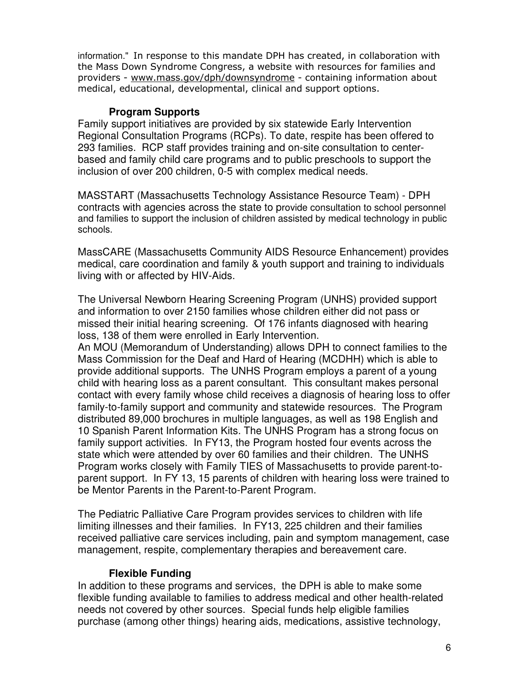information." In response to this mandate DPH has created, in collaboration with the Mass Down Syndrome Congress, a website with resources for families and providers - www.mass.gov/dph/downsyndrome - containing information about medical, educational, developmental, clinical and support options.

#### **Program Supports**

Family support initiatives are provided by six statewide Early Intervention Regional Consultation Programs (RCPs). To date, respite has been offered to 293 families. RCP staff provides training and on-site consultation to centerbased and family child care programs and to public preschools to support the inclusion of over 200 children, 0-5 with complex medical needs.

MASSTART (Massachusetts Technology Assistance Resource Team) - DPH contracts with agencies across the state to provide consultation to school personnel and families to support the inclusion of children assisted by medical technology in public schools.

MassCARE (Massachusetts Community AIDS Resource Enhancement) provides medical, care coordination and family & youth support and training to individuals living with or affected by HIV-Aids.

The Universal Newborn Hearing Screening Program (UNHS) provided support and information to over 2150 families whose children either did not pass or missed their initial hearing screening. Of 176 infants diagnosed with hearing loss, 138 of them were enrolled in Early Intervention.

An MOU (Memorandum of Understanding) allows DPH to connect families to the Mass Commission for the Deaf and Hard of Hearing (MCDHH) which is able to provide additional supports. The UNHS Program employs a parent of a young child with hearing loss as a parent consultant. This consultant makes personal contact with every family whose child receives a diagnosis of hearing loss to offer family-to-family support and community and statewide resources. The Program distributed 89,000 brochures in multiple languages, as well as 198 English and 10 Spanish Parent Information Kits. The UNHS Program has a strong focus on family support activities. In FY13, the Program hosted four events across the state which were attended by over 60 families and their children. The UNHS Program works closely with Family TIES of Massachusetts to provide parent-toparent support. In FY 13, 15 parents of children with hearing loss were trained to be Mentor Parents in the Parent-to-Parent Program.

The Pediatric Palliative Care Program provides services to children with life limiting illnesses and their families. In FY13, 225 children and their families received palliative care services including, pain and symptom management, case management, respite, complementary therapies and bereavement care.

### **Flexible Funding**

In addition to these programs and services, the DPH is able to make some flexible funding available to families to address medical and other health-related needs not covered by other sources. Special funds help eligible families purchase (among other things) hearing aids, medications, assistive technology,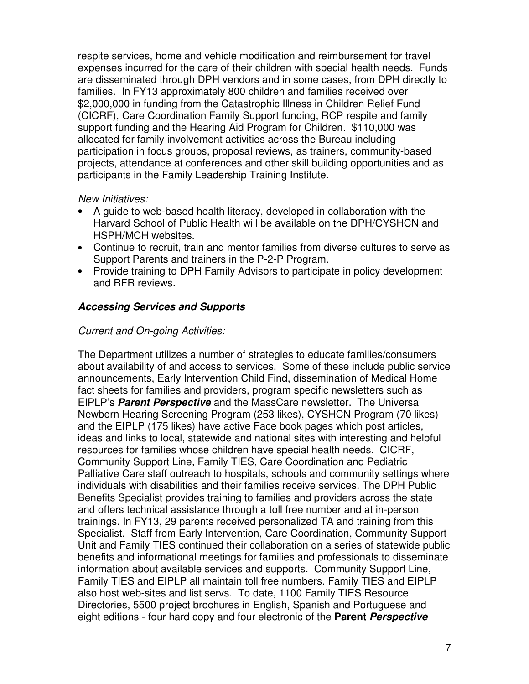respite services, home and vehicle modification and reimbursement for travel expenses incurred for the care of their children with special health needs. Funds are disseminated through DPH vendors and in some cases, from DPH directly to families. In FY13 approximately 800 children and families received over \$2,000,000 in funding from the Catastrophic Illness in Children Relief Fund (CICRF), Care Coordination Family Support funding, RCP respite and family support funding and the Hearing Aid Program for Children. \$110,000 was allocated for family involvement activities across the Bureau including participation in focus groups, proposal reviews, as trainers, community-based projects, attendance at conferences and other skill building opportunities and as participants in the Family Leadership Training Institute.

### New Initiatives:

- A guide to web-based health literacy, developed in collaboration with the Harvard School of Public Health will be available on the DPH/CYSHCN and HSPH/MCH websites.
- Continue to recruit, train and mentor families from diverse cultures to serve as Support Parents and trainers in the P-2-P Program.
- Provide training to DPH Family Advisors to participate in policy development and RFR reviews.

## **Accessing Services and Supports**

## Current and On-going Activities:

The Department utilizes a number of strategies to educate families/consumers about availability of and access to services. Some of these include public service announcements, Early Intervention Child Find, dissemination of Medical Home fact sheets for families and providers, program specific newsletters such as EIPLP's **Parent Perspective** and the MassCare newsletter. The Universal Newborn Hearing Screening Program (253 likes), CYSHCN Program (70 likes) and the EIPLP (175 likes) have active Face book pages which post articles, ideas and links to local, statewide and national sites with interesting and helpful resources for families whose children have special health needs. CICRF, Community Support Line, Family TIES, Care Coordination and Pediatric Palliative Care staff outreach to hospitals, schools and community settings where individuals with disabilities and their families receive services. The DPH Public Benefits Specialist provides training to families and providers across the state and offers technical assistance through a toll free number and at in-person trainings. In FY13, 29 parents received personalized TA and training from this Specialist. Staff from Early Intervention, Care Coordination, Community Support Unit and Family TIES continued their collaboration on a series of statewide public benefits and informational meetings for families and professionals to disseminate information about available services and supports. Community Support Line, Family TIES and EIPLP all maintain toll free numbers. Family TIES and EIPLP also host web-sites and list servs. To date, 1100 Family TIES Resource Directories, 5500 project brochures in English, Spanish and Portuguese and eight editions - four hard copy and four electronic of the **Parent Perspective**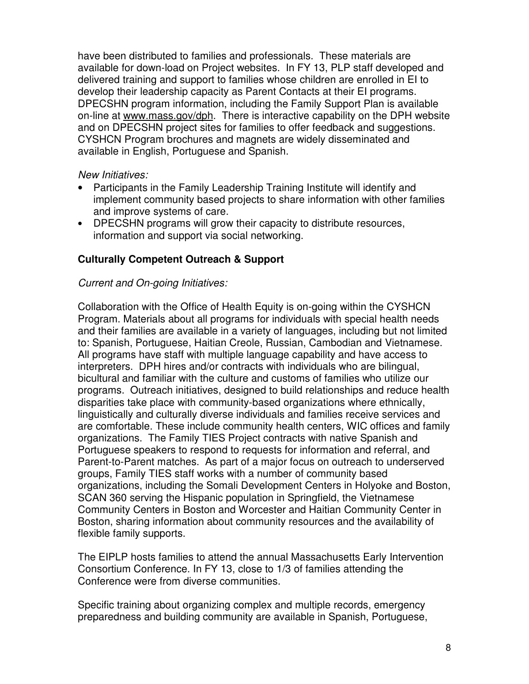have been distributed to families and professionals. These materials are available for down-load on Project websites. In FY 13, PLP staff developed and delivered training and support to families whose children are enrolled in EI to develop their leadership capacity as Parent Contacts at their EI programs. DPECSHN program information, including the Family Support Plan is available on-line at www.mass.gov/dph. There is interactive capability on the DPH website and on DPECSHN project sites for families to offer feedback and suggestions. CYSHCN Program brochures and magnets are widely disseminated and available in English, Portuguese and Spanish.

#### New Initiatives:

- Participants in the Family Leadership Training Institute will identify and implement community based projects to share information with other families and improve systems of care.
- DPECSHN programs will grow their capacity to distribute resources, information and support via social networking.

### **Culturally Competent Outreach & Support**

### Current and On-going Initiatives:

Collaboration with the Office of Health Equity is on-going within the CYSHCN Program. Materials about all programs for individuals with special health needs and their families are available in a variety of languages, including but not limited to: Spanish, Portuguese, Haitian Creole, Russian, Cambodian and Vietnamese. All programs have staff with multiple language capability and have access to interpreters. DPH hires and/or contracts with individuals who are bilingual, bicultural and familiar with the culture and customs of families who utilize our programs. Outreach initiatives, designed to build relationships and reduce health disparities take place with community-based organizations where ethnically, linguistically and culturally diverse individuals and families receive services and are comfortable. These include community health centers, WIC offices and family organizations. The Family TIES Project contracts with native Spanish and Portuguese speakers to respond to requests for information and referral, and Parent-to-Parent matches. As part of a major focus on outreach to underserved groups, Family TIES staff works with a number of community based organizations, including the Somali Development Centers in Holyoke and Boston, SCAN 360 serving the Hispanic population in Springfield, the Vietnamese Community Centers in Boston and Worcester and Haitian Community Center in Boston, sharing information about community resources and the availability of flexible family supports.

The EIPLP hosts families to attend the annual Massachusetts Early Intervention Consortium Conference. In FY 13, close to 1/3 of families attending the Conference were from diverse communities.

Specific training about organizing complex and multiple records, emergency preparedness and building community are available in Spanish, Portuguese,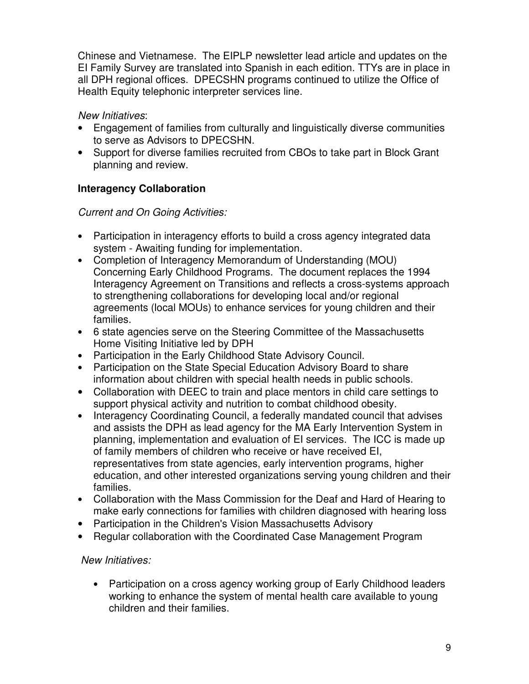Chinese and Vietnamese. The EIPLP newsletter lead article and updates on the EI Family Survey are translated into Spanish in each edition. TTYs are in place in all DPH regional offices. DPECSHN programs continued to utilize the Office of Health Equity telephonic interpreter services line.

## New Initiatives:

- Engagement of families from culturally and linguistically diverse communities to serve as Advisors to DPECSHN.
- Support for diverse families recruited from CBOs to take part in Block Grant planning and review.

# **Interagency Collaboration**

## Current and On Going Activities:

- Participation in interagency efforts to build a cross agency integrated data system - Awaiting funding for implementation.
- Completion of Interagency Memorandum of Understanding (MOU) Concerning Early Childhood Programs. The document replaces the 1994 Interagency Agreement on Transitions and reflects a cross-systems approach to strengthening collaborations for developing local and/or regional agreements (local MOUs) to enhance services for young children and their families.
- 6 state agencies serve on the Steering Committee of the Massachusetts Home Visiting Initiative led by DPH
- Participation in the Early Childhood State Advisory Council.
- Participation on the State Special Education Advisory Board to share information about children with special health needs in public schools.
- Collaboration with DEEC to train and place mentors in child care settings to support physical activity and nutrition to combat childhood obesity.
- Interagency Coordinating Council, a federally mandated council that advises and assists the DPH as lead agency for the MA Early Intervention System in planning, implementation and evaluation of EI services. The ICC is made up of family members of children who receive or have received EI, representatives from state agencies, early intervention programs, higher education, and other interested organizations serving young children and their families.
- Collaboration with the Mass Commission for the Deaf and Hard of Hearing to make early connections for families with children diagnosed with hearing loss
- Participation in the Children's Vision Massachusetts Advisory
- Regular collaboration with the Coordinated Case Management Program

## New Initiatives:

• Participation on a cross agency working group of Early Childhood leaders working to enhance the system of mental health care available to young children and their families.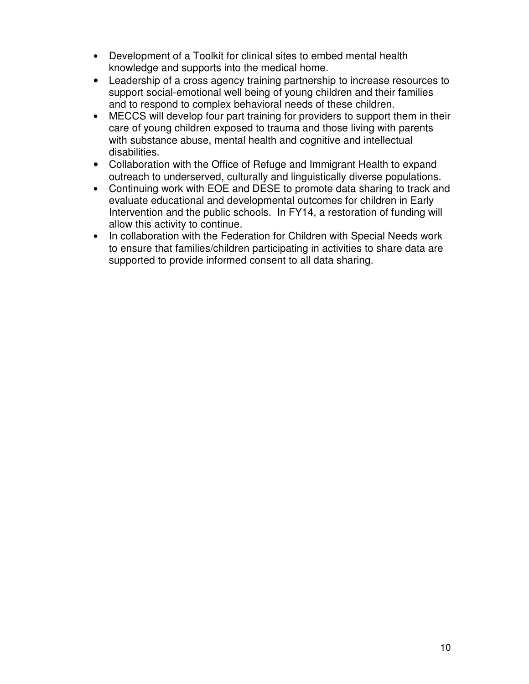- Development of a Toolkit for clinical sites to embed mental health knowledge and supports into the medical home.
- Leadership of a cross agency training partnership to increase resources to support social-emotional well being of young children and their families and to respond to complex behavioral needs of these children.
- MECCS will develop four part training for providers to support them in their care of young children exposed to trauma and those living with parents with substance abuse, mental health and cognitive and intellectual disabilities.
- Collaboration with the Office of Refuge and Immigrant Health to expand outreach to underserved, culturally and linguistically diverse populations.
- Continuing work with EOE and DESE to promote data sharing to track and evaluate educational and developmental outcomes for children in Early Intervention and the public schools. In FY14, a restoration of funding will allow this activity to continue.
- In collaboration with the Federation for Children with Special Needs work to ensure that families/children participating in activities to share data are supported to provide informed consent to all data sharing.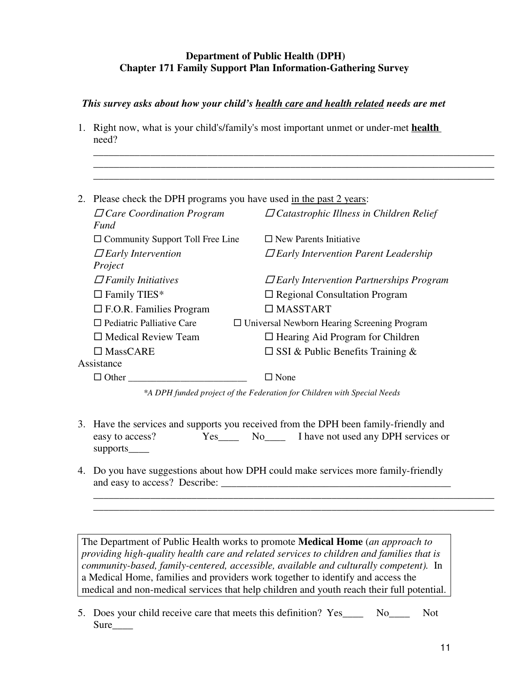### **Department of Public Health (DPH) Chapter 171 Family Support Plan Information-Gathering Survey**

#### *This survey asks about how your child's health care and health related needs are met*

1. Right now, what is your child's/family's most important unmet or under-met **health** need?

\_\_\_\_\_\_\_\_\_\_\_\_\_\_\_\_\_\_\_\_\_\_\_\_\_\_\_\_\_\_\_\_\_\_\_\_\_\_\_\_\_\_\_\_\_\_\_\_\_\_\_\_\_\_\_\_\_\_\_\_\_\_\_\_\_\_\_\_\_\_\_\_\_\_\_\_\_\_ \_\_\_\_\_\_\_\_\_\_\_\_\_\_\_\_\_\_\_\_\_\_\_\_\_\_\_\_\_\_\_\_\_\_\_\_\_\_\_\_\_\_\_\_\_\_\_\_\_\_\_\_\_\_\_\_\_\_\_\_\_\_\_\_\_\_\_\_\_\_\_\_\_\_\_\_\_\_ \_\_\_\_\_\_\_\_\_\_\_\_\_\_\_\_\_\_\_\_\_\_\_\_\_\_\_\_\_\_\_\_\_\_\_\_\_\_\_\_\_\_\_\_\_\_\_\_\_\_\_\_\_\_\_\_\_\_\_\_\_\_\_\_\_\_\_\_\_\_\_\_\_\_\_\_\_\_

|  | 2. Please check the DPH programs you have used in the past 2 years: |  |  |  |
|--|---------------------------------------------------------------------|--|--|--|
|  |                                                                     |  |  |  |

| $\Box$ Care Coordination Program        | $\Box$ Catastrophic Illness in Children Relief     |  |  |  |
|-----------------------------------------|----------------------------------------------------|--|--|--|
| Fund                                    |                                                    |  |  |  |
| $\Box$ Community Support Toll Free Line | $\Box$ New Parents Initiative                      |  |  |  |
| $\Box$ Early Intervention               | $\Box$ Early Intervention Parent Leadership        |  |  |  |
| Project                                 |                                                    |  |  |  |
| $\Box$ Family Initiatives               | $\Box$ Early Intervention Partnerships Program     |  |  |  |
| $\Box$ Family TIES*                     | $\Box$ Regional Consultation Program               |  |  |  |
| $\Box$ F.O.R. Families Program          | $\Box$ MASSTART                                    |  |  |  |
| $\Box$ Pediatric Palliative Care        | $\Box$ Universal Newborn Hearing Screening Program |  |  |  |
| $\Box$ Medical Review Team              | $\Box$ Hearing Aid Program for Children            |  |  |  |
| $\Box$ MassCARE                         | $\Box$ SSI & Public Benefits Training &            |  |  |  |
| Assistance                              |                                                    |  |  |  |
| Other                                   | $\square$ None                                     |  |  |  |

*\*A DPH funded project of the Federation for Children with Special Needs*

- 3. Have the services and supports you received from the DPH been family-friendly and easy to access?  $Yes \t No \t I have not used any DPH services or$ supports\_\_\_\_
- 4. Do you have suggestions about how DPH could make services more family-friendly and easy to access? Describe:

\_\_\_\_\_\_\_\_\_\_\_\_\_\_\_\_\_\_\_\_\_\_\_\_\_\_\_\_\_\_\_\_\_\_\_\_\_\_\_\_\_\_\_\_\_\_\_\_\_\_\_\_\_\_\_\_\_\_\_\_\_\_\_\_\_\_\_\_\_\_\_\_\_\_\_\_\_\_ \_\_\_\_\_\_\_\_\_\_\_\_\_\_\_\_\_\_\_\_\_\_\_\_\_\_\_\_\_\_\_\_\_\_\_\_\_\_\_\_\_\_\_\_\_\_\_\_\_\_\_\_\_\_\_\_\_\_\_\_\_\_\_\_\_\_\_\_\_\_\_\_\_\_\_\_\_\_

The Department of Public Health works to promote **Medical Home** (*an approach to providing high-quality health care and related services to children and families that is community-based, family-centered, accessible, available and culturally competent).*In a Medical Home, families and providers work together to identify and access the medical and non-medical services that help children and youth reach their full potential.

5. Does your child receive care that meets this definition? Yes No No Not Sure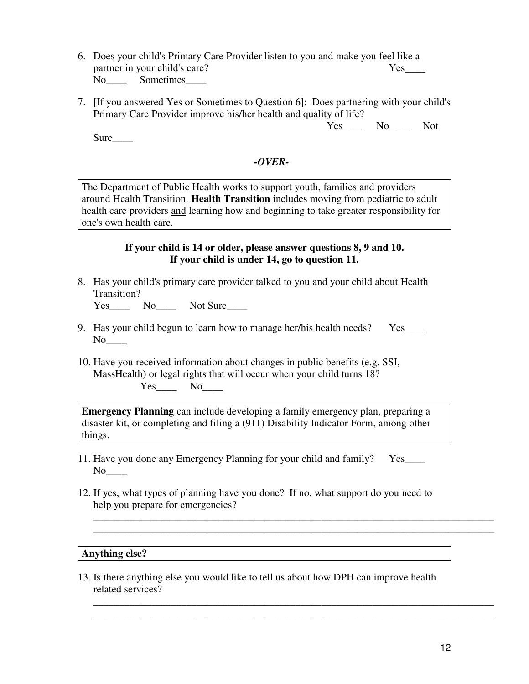- 6. Does your child's Primary Care Provider listen to you and make you feel like a partner in your child's care? Yes No<sub>cometimes</sub>
- 7. [If you answered Yes or Sometimes to Question 6]: Does partnering with your child's Primary Care Provider improve his/her health and quality of life?

Yes\_\_\_\_\_\_\_\_ No\_\_\_\_\_\_\_ Not

Sure\_\_\_\_

#### *-OVER-*

The Department of Public Health works to support youth, families and providers around Health Transition. **Health Transition** includes moving from pediatric to adult health care providers and learning how and beginning to take greater responsibility for one's own health care.

#### **If your child is 14 or older, please answer questions 8, 9 and 10. If your child is under 14, go to question 11.**

8. Has your child's primary care provider talked to you and your child about Health Transition?

Yes No Not Sure

- 9. Has your child begun to learn how to manage her/his health needs? Yes No<sub>l</sub>
- 10. Have you received information about changes in public benefits (e.g. SSI, MassHealth) or legal rights that will occur when your child turns 18? Yes No

**Emergency Planning** can include developing a family emergency plan, preparing a disaster kit, or completing and filing a (911) Disability Indicator Form, among other things.

- 11. Have you done any Emergency Planning for your child and family? Yes\_\_\_\_  $No$ <sub>\_\_\_\_\_</sub>
- 12. If yes, what types of planning have you done? If no, what support do you need to help you prepare for emergencies?

**\_\_\_\_\_\_\_\_\_\_\_\_\_\_\_\_\_\_\_\_\_\_\_\_\_\_\_\_\_\_\_\_\_\_\_\_\_\_\_\_\_\_\_\_\_\_\_\_\_\_\_\_\_\_\_\_\_\_\_\_\_\_\_\_\_\_\_\_\_\_\_\_\_\_\_\_\_\_ \_\_\_\_\_\_\_\_\_\_\_\_\_\_\_\_\_\_\_\_\_\_\_\_\_\_\_\_\_\_\_\_\_\_\_\_\_\_\_\_\_\_\_\_\_\_\_\_\_\_\_\_\_\_\_\_\_\_\_\_\_\_\_\_\_\_\_\_\_\_\_\_\_\_\_\_\_\_**

**\_\_\_\_\_\_\_\_\_\_\_\_\_\_\_\_\_\_\_\_\_\_\_\_\_\_\_\_\_\_\_\_\_\_\_\_\_\_\_\_\_\_\_\_\_\_\_\_\_\_\_\_\_\_\_\_\_\_\_\_\_\_\_\_\_\_\_\_\_\_\_\_\_\_\_\_\_\_ \_\_\_\_\_\_\_\_\_\_\_\_\_\_\_\_\_\_\_\_\_\_\_\_\_\_\_\_\_\_\_\_\_\_\_\_\_\_\_\_\_\_\_\_\_\_\_\_\_\_\_\_\_\_\_\_\_\_\_\_\_\_\_\_\_\_\_\_\_\_\_\_\_\_\_\_\_\_**

#### **Anything else?**

13. Is there anything else you would like to tell us about how DPH can improve health related services?